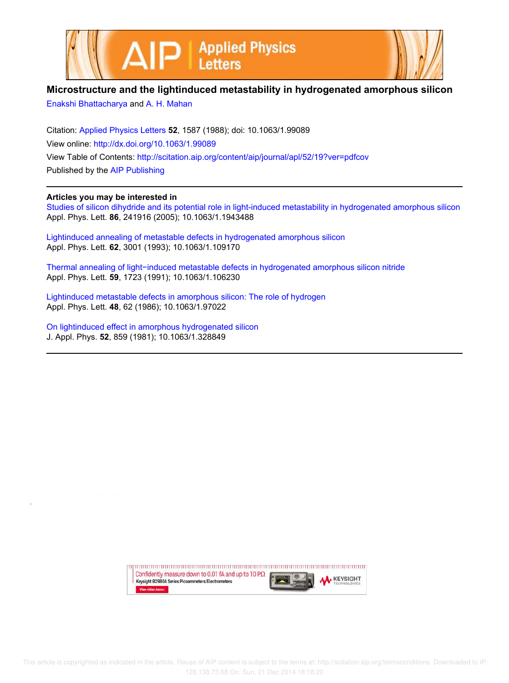



## **Microstructure and the lightinduced metastability in hydrogenated amorphous silicon**

Enakshi Bhattacharya and A. H. Mahan

Citation: Applied Physics Letters **52**, 1587 (1988); doi: 10.1063/1.99089 View online: http://dx.doi.org/10.1063/1.99089 View Table of Contents: http://scitation.aip.org/content/aip/journal/apl/52/19?ver=pdfcov Published by the AIP Publishing

## **Articles you may be interested in**

Studies of silicon dihydride and its potential role in light-induced metastability in hydrogenated amorphous silicon Appl. Phys. Lett. **86**, 241916 (2005); 10.1063/1.1943488

Lightinduced annealing of metastable defects in hydrogenated amorphous silicon Appl. Phys. Lett. **62**, 3001 (1993); 10.1063/1.109170

Thermal annealing of light−induced metastable defects in hydrogenated amorphous silicon nitride Appl. Phys. Lett. **59**, 1723 (1991); 10.1063/1.106230

Lightinduced metastable defects in amorphous silicon: The role of hydrogen Appl. Phys. Lett. **48**, 62 (1986); 10.1063/1.97022

On lightinduced effect in amorphous hydrogenated silicon J. Appl. Phys. **52**, 859 (1981); 10.1063/1.328849

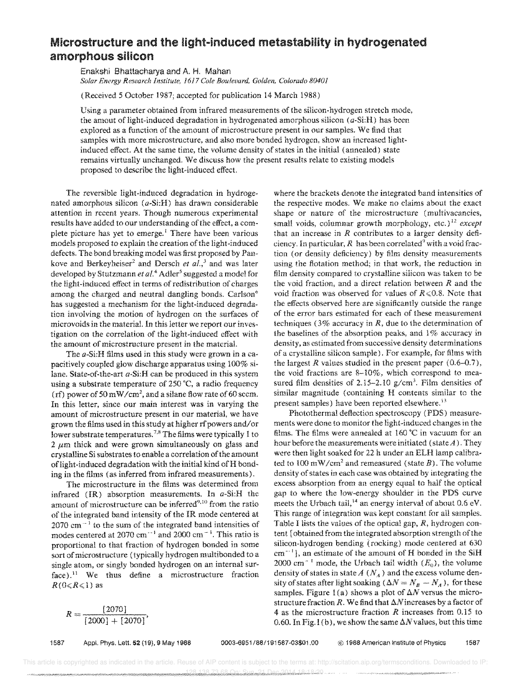## **Microstructure and the light-induced metastability in hydrogenated amorphous silicon**

Enakshi Bhattacharya and A. H. Mahan *Solar Energy Research Institute,* 1617 *Cole Boulevard, Golden, Colorado 80401* 

(Received 5 October 1987; accepted for publication 14 March 1988)

Using a parameter obtained from infrared measurements of the silicon-hydrogen stretch mode, the amout of light-induced degradation in hydrogenated amorphous silicon  $(a\text{-Si:H})$  has been explored as a function of the amount of microstructure present in our samples. We find that samples with more microstructure, and also more bonded hydrogen, show an increased lightinduced effect. At the same time, the volume density of states in the initial (annealed) state remains virtually unchanged. We discuss how the present results relate to existing models proposed to describe the light-induced effect.

The reversible light-induced degradation in hydrogenated amorphous silicon  $(a-Si: H)$  has drawn considerable attention in recent years. Though numerous experimental results have added to our understanding of the effect, a complete picture has yet to emerge.<sup>1</sup> There have been various models proposed to explain the creation of the light-induced defects. The bond breaking model was first proposed by Pankove and Berkeyheiser<sup>2</sup> and Dersch et al.,<sup>3</sup> and was later developed by Stutzmann *et al.*<sup>4</sup> Adler<sup>5</sup> suggested a model for the light-induced effect in terms of redistribution of charges among the charged and neutral dangling bonds. Carlson<sup> $6$ </sup> has suggested a mechanism for the light-induced degradation involving the motion of hydrogen on the surfaces of microvoids in the materia1. In this letter we report our investigation on the correlation of the light-induced effect with the amount of microstructure present in the materiaL

The a-Si:H films used in this study were grown in a capacitively coupled glow discharge apparatus using 100% silane. State-of-the-art a-Si:H can be produced in this system using a substrate temperature of 250°C, a radio frequency (rf) power of 50 mW/cm<sup>2</sup>, and a silane flow rate of 60 sccm. In this letter, since our main interest was in varying the amount of microstructure present in our material, we have grown the films used in this study at higher rfpowers and/or lower substrate temperatures.<sup>7,8</sup> The films were typically 1 to  $2 \mu m$  thick and were grown simultaneously on glass and crystalline Si substrates to enable a correlation of the amount of light-induced degradation with the initial kind of H bonding in the films (as inferred from infrared measurements).

The microstructure in the films was determined from infrared (IR) absorption measurements. In a-Si:H the amount of microstructure can be inferred<sup>9,10</sup> from the ratio of the integrated band intensity of the IR mode centered at  $2070$  cm<sup> $-1$ </sup> to the sum of the integrated band intensities of modes centered at 2070 cm<sup>--1</sup> and 2000 cm<sup>--1</sup>. This ratio is proportional to that fraction of hydrogen bonded in some sort of microstructure (typically hydrogen multibonded to a single atom, or singly bonded hydrogen on an internal surface).<sup>11</sup> We thus define a microstructure fraction  $R(0 \leq R \leq 1)$  as

$$
R = \frac{[2070]}{[2000] + [2070]},
$$

where the brackets denote the integrated band intensities of the respective modes. We make no claims about the exact shape or nature of the microstructure (multivacancies, small voids, cOlumnar growth morphology, etc.) 12 *except*  that an increase in *R* contributes to a larger density deficiency. In particular,  $R$  has been correlated<sup>9</sup> with a void fraction (or density deficiency) by film density measurements using the flotation method; in that work, the reduction in film density compared to crystalline siiicon was taken to be the void fraction, and a direct relation between *R* and the void fraction was observed for values of  $R \le 0.8$ . Note that the effects observed here are significantly outside the range of the error bars estimated for each of these measurement techniques (3% accuracy in *R,* due to the determination of the baselines of the absorption peaks, and  $1\%$  accuracy in density, as estimated from successive density determinations of a crystalline silicon sample). For example, for films with the largest  $R$  values studied in the present paper  $(0.6-0.7)$ , the void fractions are 8-10%, which correspond to measured film densities of 2.15–2.10  $g/cm<sup>3</sup>$ . Film densities of similar magnitude (containing H contents similar to the present samples) have been reported elsewhere.<sup>13</sup>

Photothermal deflection spectroscopy (PDS) measurements were done to monitor the light-induced changes in the films. The films were annealed at 160·C in vacuum for an hour before the measurements were initiated (state *A)* . They were then light soaked for 22 h under an ELH lamp calibrated to 100 mW/cm<sup>2</sup> and remeasured (state  $B$ ). The volume density of states in each case was obtained by integrating the excess absorption from an energy equal to half the optical gap to where the low-energy shoulder in the PDS curve meets the Urbach tail,<sup>14</sup> an energy interval of about  $0.6$  eV. This range of integration was kept constant for all samples. Table I lists the values of the optical gap, *R,* hydrogen content [obtained from the integrated absorption strength of the silicon-hydrogen bending (rocking) mode centered at 630  $cm^{-1}$ ], an estimate of the amount of H bonded in the SiH 2000 cm<sup>-1</sup> mode, the Urbach tail width  $(E_0)$ , the volume density of states in state  $A(N_A)$  and the excess volume density of states after light soaking  $(\Delta N = N_B - N_A)$ , for these samples. Figure 1(a) shows a plot of  $\Delta N$  versus the microstructure fraction  $R$ . We find that  $\Delta N$  increases by a factor of 4 as the microstructure fraction *R* increases from 0.15 to 0.60. In Fig. 1(b), we show the same  $\Delta N$  values, but this time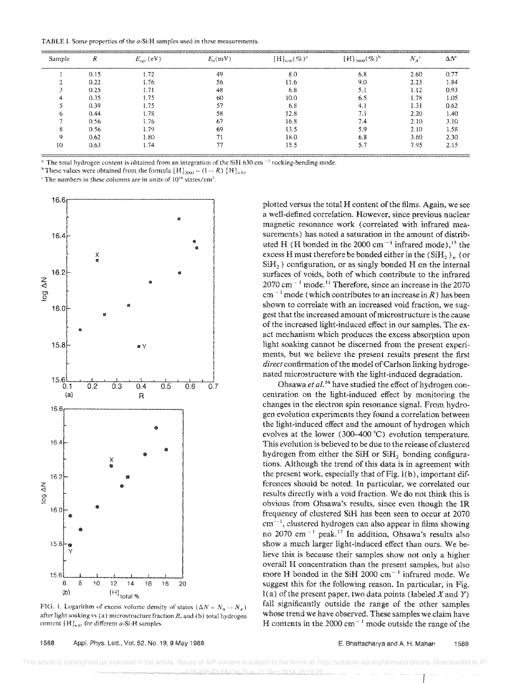TABLE I. Some properties of the a-Si:H samples used in these measurements

| Sample                                                               |      | $E_{\rm opt}$ (eV) | $E_n(mV)$ | $[H]_{630} (\%)^2$ | $[H]_{2000} (\%)^b$ | $N_A$ <sup>c</sup> | $\Delta N^{\circ}$ |
|----------------------------------------------------------------------|------|--------------------|-----------|--------------------|---------------------|--------------------|--------------------|
| المستراك المتناكب والمستركبين كالمراكب والمستركب والمستركب والمستركب | 0.15 | t.72               | 49        | 81                 | 6.8                 | 2.60               |                    |
|                                                                      | 0.22 | .76                | 56        |                    |                     | 2.23               | -84                |
|                                                                      | 0.25 |                    | 48        | o a                |                     | 1.12               | 0.93               |
|                                                                      | 0.35 |                    | 60        |                    |                     | 1.78               | . 05               |
|                                                                      | 0.39 |                    | 57        | <u>ত ১</u>         |                     | 0.31               | D 62               |
|                                                                      | 0.44 |                    | 58        |                    |                     | 2.20               | -40                |
|                                                                      | 0.56 | 76                 | ь.        | 16.8               |                     | 2.10               | 3 IO               |
|                                                                      | 0.56 | I 79               | 69        | В.                 |                     | 2.10               |                    |
|                                                                      | 0.62 | l.80               |           |                    |                     | 3.60               | 2 3O               |
|                                                                      | 0.63 | 74                 |           |                    |                     | 7.95               |                    |

<sup>a</sup> The total hydrogen content is obtained from an integration of the SiH 630 cm<sup>-1</sup> rocking-bending mode.

<sup>b</sup> These values were obtained from the formula  $[H]_{2000} \sim (1 - R) [H]_{630}$ .

"The numbers in these columns are in units of  $10^{16}$  states/cm<sup>3</sup>.



FIG. 1. Logarithm of excess volume density of states  $(\Delta N = N_B - N_A)$ after light soaking vs (a) microstructure fraction  $R$ , and (b) total hydrogen content  $[H]_{630}$  for different a-Si:H samples

plotted versus the total H content of the films. Again, we see a well-defined correlation. However, since previous nuclear magnetic resonance work (correlated with infrared measurements) has noted a saturation in the amount of distributed H (H bonded in the 2000 cm<sup> $-1$ </sup> infrared mode).<sup>15</sup> the excess H must therefore be bonded either in the  $(SiH_2)$ , (or  $SiH<sub>2</sub>$ ) configuration, or as singly bonded H on the internal surfaces of voids, both of which contribute to the infrared  $2070$  cm<sup> $-1$ </sup> mode.<sup>11</sup> Therefore, since an increase in the 2070  $cm^{-1}$  mode (which contributes to an increase in R) has been shown to correlate with an increased void fraction, we suggest that the increased amount of microstructure is the cause of the increased light-induced effect in our samples. The exact mechanism which produces the excess absorption upon light soaking cannot be discerned from the present experiments, but we believe the present results present the first direct confirmation of the model of Carlson linking hydrogenated microstructure with the light-induced degradation.

Ohsawa et al.<sup>16</sup> have studied the effect of hydrogen concentration on the light-induced effect by monitoring the changes in the electron spin resonance signal. From hydrogen evolution experiments they found a correlation between the light-induced effect and the amount of hydrogen which evolves at the lower (300-400 °C) evolution temperature. This evolution is believed to be due to the release of clustered hydrogen from either the SiH or SiH, bonding configurations. Although the trend of this data is in agreement with the present work, especially that of Fig. 1(b), important differences should be noted. In particular, we correlated our results directly with a void fraction. We do not think this is obvious from Ohsawa's results, since even though the IR frequency of clustered SiH has been seen to occur at 2070  $cm^{-1}$ , clustered hydrogen can also appear in films showing no 2070 cm<sup>-1</sup> peak.<sup>17</sup> In addition, Ohsawa's results also show a much larger light-induced effect than ours. We believe this is because their samples show not only a higher overall H concentration than the present samples, but also more H bonded in the SiH 2000 cm<sup>-1</sup> infrared mode. We suggest this for the following reason. In particular, in Fig.  $l(a)$  of the present paper, two data points (labeled X and Y) fall significantly outside the range of the other samples whose trend we have observed. These samples we claim have H contents in the 2000 cm<sup> $-1$ </sup> mode outside the range of the